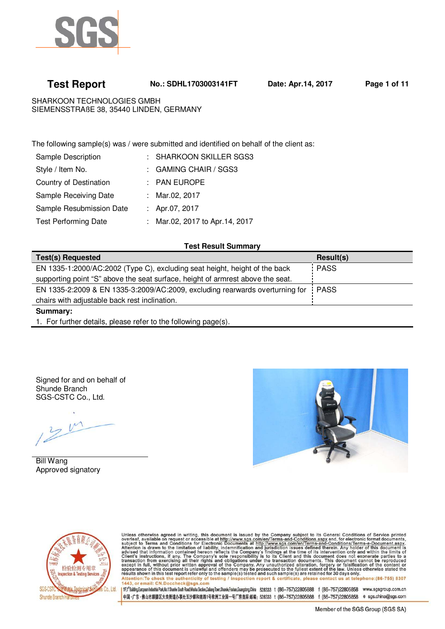

 **Test Report No.: SDHL1703003141FT Date: Apr.14, 2017 Page 1 of 11**

SHARKOON TECHNOLOGIES GMBH SIEMENSSTRAßE 38, 35440 LINDEN, GERMANY

The following sample(s) was / were submitted and identified on behalf of the client as:

| Sample Description          | : SHARKOON SKILLER SGS3        |
|-----------------------------|--------------------------------|
| Style / Item No.            | : GAMING CHAIR / SGS3          |
| Country of Destination      | $:$ PAN EUROPE                 |
| Sample Receiving Date       | : Mar.02, 2017                 |
| Sample Resubmission Date    | : Apr.07, 2017                 |
| <b>Test Performing Date</b> | : Mar.02, 2017 to Apr.14, 2017 |
|                             |                                |

### **Test Result Summary**

| <b>Test(s) Requested</b>                                                          | Result(s)   |
|-----------------------------------------------------------------------------------|-------------|
| EN 1335-1:2000/AC:2002 (Type C), excluding seat height, height of the back        | <b>PASS</b> |
| supporting point "S" above the seat surface, height of armrest above the seat.    |             |
| EN 1335-2:2009 & EN 1335-3:2009/AC:2009, excluding rearwards overturning for PASS |             |
| chairs with adjustable back rest inclination.                                     |             |
|                                                                                   |             |

**Summary:** 

1. For further details, please refer to the following page(s).

Signed for and on behalf of Shunde Branch SGS-CSTC Co., Ltd.

**Bill Wang** Approved signatory





Unless otherwise agreed in writing, this document is issued by the Company subject to its General Conditions of Service printed overleaf, available on request or accessible at http://www.sgs.com/en/Terms-and-Conditions.as

1Fif<sup>4</sup>Building.European Industrial Park, No.1 Shunhe South Road, Wusha Sedion,Dalang Town,Shunde,Foshan,Guangdong,China 528333 t (86-757)22805888 f (86-757)22805858 www.sgsgroup.com.cn 中国·广东·佛山市顺德区大良街道办事处五沙顺和南路1号欧洲工业园一号厂房首层 邮编: 528333 t (86-757)22805888 f (86-757)22805858 e sgs.china@sgs.com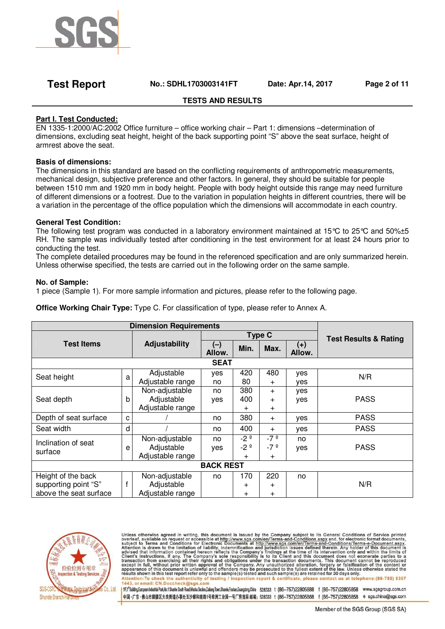

# **Test Report No.: SDHL1703003141FT Date: Apr.14, 2017 Page 2 of 11**

# **TESTS AND RESULTS**

# **Part I. Test Conducted:**

EN 1335-1:2000/AC:2002 Office furniture – office working chair – Part 1: dimensions –determination of dimensions, excluding seat height, height of the back supporting point "S" above the seat surface, height of armrest above the seat.

### **Basis of dimensions:**

The dimensions in this standard are based on the conflicting requirements of anthropometric measurements, mechanical design, subjective preference and other factors. In general, they should be suitable for people between 1510 mm and 1920 mm in body height. People with body height outside this range may need furniture of different dimensions or a footrest. Due to the variation in population heights in different countries, there will be a variation in the percentage of the office population which the dimensions will accommodate in each country.

### **General Test Condition:**

The following test program was conducted in a laboratory environment maintained at 15°C to 25°C and 50%±5 RH. The sample was individually tested after conditioning in the test environment for at least 24 hours prior to conducting the test.

The complete detailed procedures may be found in the referenced specification and are only summarized herein. Unless otherwise specified, the tests are carried out in the following order on the same sample.

### **No. of Sample:**

1 piece (Sample 1). For more sample information and pictures, please refer to the following page.

|  |  |  |  | <b>Office Working Chair Type:</b> Type C. For classification of type, please refer to Annex A. |
|--|--|--|--|------------------------------------------------------------------------------------------------|
|--|--|--|--|------------------------------------------------------------------------------------------------|

| <b>Dimension Requirements</b> |   |                  |                 |              |               |                                  |             |  |
|-------------------------------|---|------------------|-----------------|--------------|---------------|----------------------------------|-------------|--|
| <b>Test Items</b>             |   |                  |                 |              | <b>Type C</b> | <b>Test Results &amp; Rating</b> |             |  |
|                               |   | Adjustability    | $(-)$<br>Allow. | Min.         | Max.          | $(+)$<br>Allow.                  |             |  |
|                               |   |                  | <b>SEAT</b>     |              |               |                                  |             |  |
| Seat height                   | a | Adjustable       | yes             | 420          | 480           | yes                              | N/R         |  |
|                               |   | Adjustable range | no              | 80           | $\pm$         | yes                              |             |  |
|                               |   | Non-adjustable   | no              | 380          | $\pm$         | yes                              |             |  |
| Seat depth                    | b | Adjustable       | yes             | 400          | $\pm$         | yes                              | <b>PASS</b> |  |
|                               |   | Adjustable range |                 | $\pm$        | $\ddot{}$     |                                  |             |  |
| Depth of seat surface         | C |                  | no              | 380          | $\ddot{}$     | yes                              | <b>PASS</b> |  |
| Seat width                    | d |                  | no              | 400          | $^{+}$        | yes                              | <b>PASS</b> |  |
| Inclination of seat           |   | Non-adjustable   | no              | $-2^{\circ}$ | $-7°$         | no                               |             |  |
| surface                       | е | Adjustable       | yes             | $-2°$        | $-7°$         | yes                              | <b>PASS</b> |  |
|                               |   | Adjustable range |                 | $^{+}$       | $^{+}$        |                                  |             |  |
| <b>BACK REST</b>              |   |                  |                 |              |               |                                  |             |  |
| Height of the back            |   | Non-adjustable   | no              | 170          | 220           | no                               |             |  |
| supporting point "S"          |   | Adjustable       |                 | $\pm$        | $\pm$         |                                  | N/R         |  |
| above the seat surface        |   | Adjustable range |                 | $\pm$        | $\ddot{}$     |                                  |             |  |



Unless otherwise agreed in writing, this document is issued by the Company subject to its General Conditions of Service printed<br>overleaf, available on request or accessible at http://www.sgs.com/en/Terms-and-Conditions.as

1/F;l\*Building.European Industrial Park, No.1 Shunhe South Road, Wusha Section, Daliang Town, Shunde,Foshan, Guangdong, China 528333 t (86-757)22805888 f (86-757)22805858 www.sgsgroup.com.cn 中国·广东·佛山市顺德区大良街道办事处五沙顺和南路1号欧洲工业园一号厂房首层 邮编: 528333 1 (86-757)22805888 f (86-757)22805858 e sgs.china@sgs.com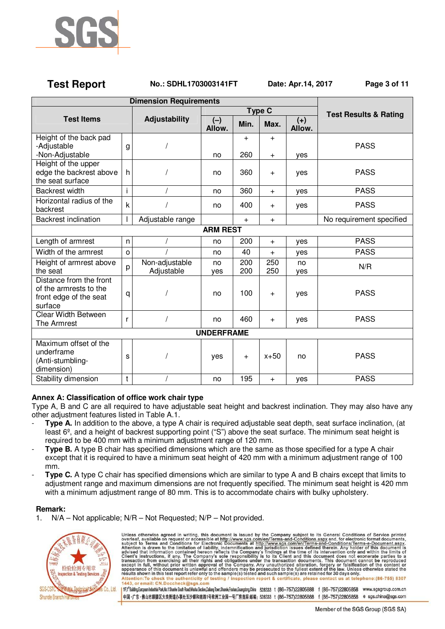

# **Test Report No.: SDHL1703003141FT Date: Apr.14, 2017 Page 3 of 11**

| <b>Dimension Requirements</b>                                                          |              |                              |                 |               |               |                 |                                  |
|----------------------------------------------------------------------------------------|--------------|------------------------------|-----------------|---------------|---------------|-----------------|----------------------------------|
|                                                                                        |              |                              |                 |               | <b>Type C</b> |                 | <b>Test Results &amp; Rating</b> |
| <b>Test Items</b>                                                                      |              | Adjustability                | $(-)$<br>Allow. | Min.          | Max.          | $(+)$<br>Allow. |                                  |
| Height of the back pad<br>-Adjustable<br>-Non-Adjustable                               | g            |                              | no              | $^{+}$<br>260 | $+$<br>$+$    | ves             | <b>PASS</b>                      |
| Height of the upper<br>edge the backrest above<br>the seat surface                     | h            |                              | no              | 360           | $\ddot{}$     | yes             | <b>PASS</b>                      |
| <b>Backrest width</b>                                                                  | i.           | $\prime$                     | no              | 360           | $+$           | yes             | <b>PASS</b>                      |
| Horizontal radius of the<br>backrest                                                   | $\mathsf k$  |                              | no              | 400           | $+$           | yes             | <b>PASS</b>                      |
| <b>Backrest inclination</b>                                                            |              | Adjustable range             |                 | $+$           | $\ddot{}$     |                 | No requirement specified         |
|                                                                                        |              |                              | <b>ARM REST</b> |               |               |                 |                                  |
| Length of armrest                                                                      | n            |                              | no              | 200           | $+$           | yes             | <b>PASS</b>                      |
| Width of the armrest                                                                   | $\circ$      |                              | no              | 40            | $+$           | yes             | <b>PASS</b>                      |
| Height of armrest above<br>the seat                                                    | p            | Non-adjustable<br>Adjustable | no<br>yes       | 200<br>200    | 250<br>250    | no<br>yes       | N/R                              |
| Distance from the front<br>of the armrests to the<br>front edge of the seat<br>surface | q            |                              | no              | 100           | $\ddot{}$     | yes             | <b>PASS</b>                      |
| <b>Clear Width Between</b><br>The Armrest                                              | $\mathsf{r}$ |                              | no              | 460           | $+$           | yes             | <b>PASS</b>                      |
| <b>UNDERFRAME</b>                                                                      |              |                              |                 |               |               |                 |                                  |
| Maximum offset of the<br>underframe<br>(Anti-stumbling-<br>dimension)                  | S            |                              | yes             | $\ddot{}$     | $x+50$        | no              | <b>PASS</b>                      |
| Stability dimension                                                                    | $\mathsf{t}$ |                              | no              | 195           | $\ddot{}$     | yes             | <b>PASS</b>                      |

# **Annex A: Classification of office work chair type**

Type A, B and C are all required to have adjustable seat height and backrest inclination. They may also have any other adjustment features listed in Table A.1.

- **Type A.** In addition to the above, a type A chair is required adjustable seat depth, seat surface inclination, (at least 6º, and a height of backrest supporting point ("S") above the seat surface. The minimum seat height is required to be 400 mm with a minimum adjustment range of 120 mm.
- **Type B.** A type B chair has specified dimensions which are the same as those specified for a type A chair except that it is required to have a minimum seat height of 420 mm with a minimum adjustment range of 100 mm.
- **Type C.** A type C chair has specified dimensions which are similar to type A and B chairs except that limits to adjustment range and maximum dimensions are not frequently specified. The minimum seat height is 420 mm with a minimum adjustment range of 80 mm. This is to accommodate chairs with bulky upholstery.

### **Remark:**

N/A – Not applicable; N/R – Not Requested; N/P – Not provided.



Unless otherwise agreed in writing, this document is issued by the Company subject to its General Conditions of Service printed overleaf, available on request or accessible at http://www.sgs.com/en/Terms-and-Conditions.as 1/F;l\*Building.European Industrial Park, No.1 Shunhe South Road, Wusha Section, Daliang Town, Shunde,Foshan, Guangdong, China 528333 t (86-757)22805888 f (86-757)22805858 www.sgsgroup.com.cn 中国·广东·佛山市顺德区大良街道办事处五沙顺和南路1号欧洲工业园一号厂房首层 邮编: 528333 1 (86-757)22805888 f (86-757)22805858 e sgs.china@sgs.com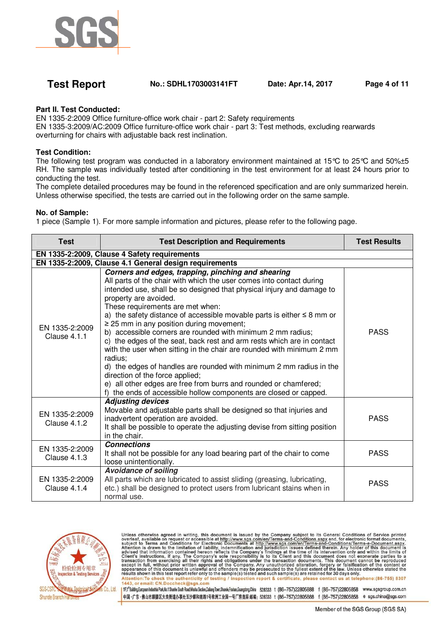

# **Test Report No.: SDHL1703003141FT Date: Apr.14, 2017 Page 4 of 11**

### **Part II. Test Conducted:**

EN 1335-2:2009 Office furniture-office work chair - part 2: Safety requirements

EN 1335-3:2009/AC:2009 Office furniture-office work chair - part 3: Test methods, excluding rearwards overturning for chairs with adjustable back rest inclination.

### **Test Condition:**

The following test program was conducted in a laboratory environment maintained at 15°C to 25°C and 50%±5 RH. The sample was individually tested after conditioning in the test environment for at least 24 hours prior to conducting the test.

The complete detailed procedures may be found in the referenced specification and are only summarized herein. Unless otherwise specified, the tests are carried out in the following order on the same sample.

#### **No. of Sample:**

1 piece (Sample 1). For more sample information and pictures, please refer to the following page.

| <b>Test</b>                           | <b>Test Description and Requirements</b>                                                                                                                                                                                                                                                                                                                                                                                                                                                                                                                                                                                                                                                                                                                                                                                                                                         | <b>Test Results</b> |
|---------------------------------------|----------------------------------------------------------------------------------------------------------------------------------------------------------------------------------------------------------------------------------------------------------------------------------------------------------------------------------------------------------------------------------------------------------------------------------------------------------------------------------------------------------------------------------------------------------------------------------------------------------------------------------------------------------------------------------------------------------------------------------------------------------------------------------------------------------------------------------------------------------------------------------|---------------------|
|                                       | EN 1335-2:2009, Clause 4 Safety requirements                                                                                                                                                                                                                                                                                                                                                                                                                                                                                                                                                                                                                                                                                                                                                                                                                                     |                     |
|                                       | EN 1335-2:2009, Clause 4.1 General design requirements                                                                                                                                                                                                                                                                                                                                                                                                                                                                                                                                                                                                                                                                                                                                                                                                                           |                     |
| EN 1335-2:2009<br>Clause 4.1.1        | Corners and edges, trapping, pinching and shearing<br>All parts of the chair with which the user comes into contact during<br>intended use, shall be so designed that physical injury and damage to<br>property are avoided.<br>These requirements are met when:<br>a) the safety distance of accessible movable parts is either $\leq 8$ mm or<br>$\geq$ 25 mm in any position during movement;<br>b) accessible corners are rounded with minimum 2 mm radius;<br>c) the edges of the seat, back rest and arm rests which are in contact<br>with the user when sitting in the chair are rounded with minimum 2 mm<br>radius:<br>d) the edges of handles are rounded with minimum 2 mm radius in the<br>direction of the force applied;<br>e) all other edges are free from burrs and rounded or chamfered;<br>f) the ends of accessible hollow components are closed or capped. | <b>PASS</b>         |
| EN 1335-2:2009<br><b>Clause 4.1.2</b> | <b>Adjusting devices</b><br>Movable and adjustable parts shall be designed so that injuries and<br>inadvertent operation are avoided.<br>It shall be possible to operate the adjusting devise from sitting position<br>in the chair.                                                                                                                                                                                                                                                                                                                                                                                                                                                                                                                                                                                                                                             | <b>PASS</b>         |
| EN 1335-2:2009<br>Clause $4.1.3$      | <b>Connections</b><br>It shall not be possible for any load bearing part of the chair to come<br>loose unintentionally.                                                                                                                                                                                                                                                                                                                                                                                                                                                                                                                                                                                                                                                                                                                                                          | <b>PASS</b>         |
| EN 1335-2:2009<br>Clause 4.1.4        | <b>Avoidance of soiling</b><br>All parts which are lubricated to assist sliding (greasing, lubricating,<br>etc.) shall be designed to protect users from lubricant stains when in<br>normal use.                                                                                                                                                                                                                                                                                                                                                                                                                                                                                                                                                                                                                                                                                 | <b>PASS</b>         |



Unless otherwise agreed in writing, this document is issued by the Company subject to its General Conditions of Service printed overleaf, available on request or accessible at http://www.sgs.com/en/Terms-and-Conditions.as

1F;1<sup>6</sup>Building.European Industrial Park,Mo.1 Shunhe South Road,Wusha Sedion,Dallang Town,Shunde,Foshan,Guangobng,China 528333 1 (86-757)22805888 f (86-757)22805858 www.sgsgroup.com.cn 中国·广东·佛山市顺德区大良街道办事处五沙顺和南路1号欧洲工业园一号厂房首层 邮编: 528333 t (86-757)22805888 f (86-757)22805858 e sgs.china@sgs.com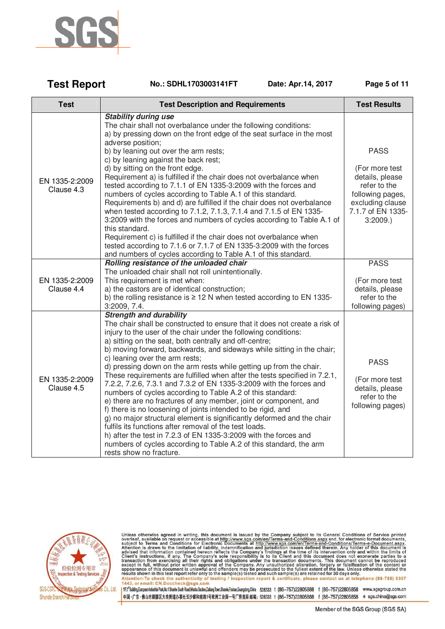

| <b>Test Report</b> | No.: SDHL1703003141FT |
|--------------------|-----------------------|
|--------------------|-----------------------|

**Date: Apr.14, 2017 Page 5 of 11** 

| <b>Test</b>                  | <b>Test Description and Requirements</b>                                                                                                                                                                                                                                                                                                                                                                                                                                                                                                                                                                                                                                                                                                                                                                                                                                                                                                                                                                                                                                                   | <b>Test Results</b>                                                                                                       |
|------------------------------|--------------------------------------------------------------------------------------------------------------------------------------------------------------------------------------------------------------------------------------------------------------------------------------------------------------------------------------------------------------------------------------------------------------------------------------------------------------------------------------------------------------------------------------------------------------------------------------------------------------------------------------------------------------------------------------------------------------------------------------------------------------------------------------------------------------------------------------------------------------------------------------------------------------------------------------------------------------------------------------------------------------------------------------------------------------------------------------------|---------------------------------------------------------------------------------------------------------------------------|
|                              | <b>Stability during use</b><br>The chair shall not overbalance under the following conditions:<br>a) by pressing down on the front edge of the seat surface in the most<br>adverse position;<br>b) by leaning out over the arm rests;                                                                                                                                                                                                                                                                                                                                                                                                                                                                                                                                                                                                                                                                                                                                                                                                                                                      | <b>PASS</b>                                                                                                               |
| EN 1335-2:2009<br>Clause 4.3 | c) by leaning against the back rest;<br>d) by sitting on the front edge.<br>Requirement a) is fulfilled if the chair does not overbalance when<br>tested according to 7.1.1 of EN 1335-3:2009 with the forces and<br>numbers of cycles according to Table A.1 of this standard.<br>Requirements b) and d) are fulfilled if the chair does not overbalance<br>when tested according to 7.1.2, 7.1.3, 7.1.4 and 7.1.5 of EN 1335-<br>3:2009 with the forces and numbers of cycles according to Table A.1 of<br>this standard.<br>Requirement c) is fulfilled if the chair does not overbalance when<br>tested according to 7.1.6 or 7.1.7 of EN 1335-3:2009 with the forces<br>and numbers of cycles according to Table A.1 of this standard.                                                                                                                                                                                                                                                                                                                                                | (For more test<br>details, please<br>refer to the<br>following pages,<br>excluding clause<br>7.1.7 of EN 1335-<br>3:2009. |
| EN 1335-2:2009<br>Clause 4.4 | Rolling resistance of the unloaded chair<br>The unloaded chair shall not roll unintentionally.<br>This requirement is met when:<br>a) the castors are of identical construction;<br>b) the rolling resistance is $\geq$ 12 N when tested according to EN 1335-<br>3:2009, 7.4.                                                                                                                                                                                                                                                                                                                                                                                                                                                                                                                                                                                                                                                                                                                                                                                                             | <b>PASS</b><br>(For more test<br>details, please<br>refer to the<br>following pages)                                      |
| EN 1335-2:2009<br>Clause 4.5 | <b>Strength and durability</b><br>The chair shall be constructed to ensure that it does not create a risk of<br>injury to the user of the chair under the following conditions:<br>a) sitting on the seat, both centrally and off-centre;<br>b) moving forward, backwards, and sideways while sitting in the chair;<br>c) leaning over the arm rests;<br>d) pressing down on the arm rests while getting up from the chair.<br>These requirements are fulfilled when after the tests specified in 7.2.1,<br>7.2.2, 7.2.6, 7.3.1 and 7.3.2 of EN 1335-3:2009 with the forces and<br>numbers of cycles according to Table A.2 of this standard:<br>e) there are no fractures of any member, joint or component, and<br>f) there is no loosening of joints intended to be rigid, and<br>g) no major structural element is significantly deformed and the chair<br>fulfils its functions after removal of the test loads.<br>h) after the test in 7.2.3 of EN 1335-3:2009 with the forces and<br>numbers of cycles according to Table A.2 of this standard, the arm<br>rests show no fracture. | <b>PASS</b><br>(For more test<br>details, please<br>refer to the<br>following pages)                                      |



Unless otherwise agreed in writing, this document is issued by the Company subject to its General Conditions of Service printed overleaf, available on request or accessible at http://www.sgs.com/en/Terms-and-Conditions.as

1 ff;f<sup>4</sup>Buiding.European Industrial Park,No.1 Shunte South Road,Wusha Section,Daliang Town,Shunde,Foshan,Guangdong,China 528333 t (86-757)22805888 f (86-757)22805858 www.sgsgroup.com.cn 中国·广东·佛山市顺德区大良街道办事处五沙顺和南路1号欧洲工业园一号厂房首层 邮编: 528333 t (86-757)22805888 f (86-757)22805858 e sgs.china@sgs.com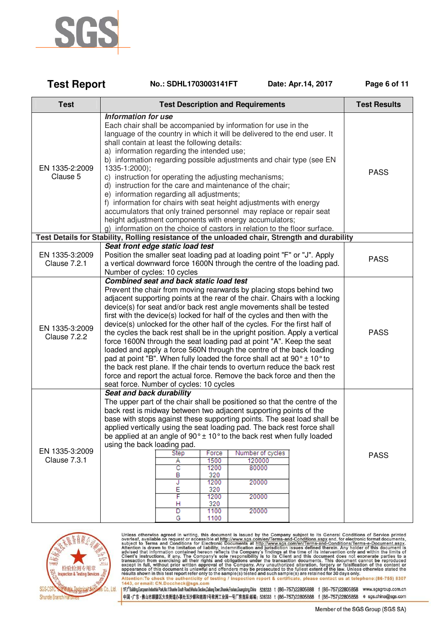

| <b>Test Report</b><br>No.: SDHL1703003141FT | Date: Apr.14, 2017 | Page 6 of 11 |
|---------------------------------------------|--------------------|--------------|
|---------------------------------------------|--------------------|--------------|

| <b>Test</b>                    | <b>Test Description and Requirements</b>                                                                                                                                                                                                                                                                                                                                                                                                                                                                                                                                                                                                                                                                                                                                                                                                                                                                                                                         | <b>Test Results</b> |
|--------------------------------|------------------------------------------------------------------------------------------------------------------------------------------------------------------------------------------------------------------------------------------------------------------------------------------------------------------------------------------------------------------------------------------------------------------------------------------------------------------------------------------------------------------------------------------------------------------------------------------------------------------------------------------------------------------------------------------------------------------------------------------------------------------------------------------------------------------------------------------------------------------------------------------------------------------------------------------------------------------|---------------------|
| EN 1335-2:2009<br>Clause 5     | Information for use<br>Each chair shall be accompanied by information for use in the<br>language of the country in which it will be delivered to the end user. It<br>shall contain at least the following details:<br>a) information regarding the intended use;<br>b) information regarding possible adjustments and chair type (see EN<br>1335-1:2000);<br>c) instruction for operating the adjusting mechanisms;<br>d) instruction for the care and maintenance of the chair;<br>e) information regarding all adjustments;<br>f) information for chairs with seat height adjustments with energy<br>accumulators that only trained personnel may replace or repair seat<br>height adjustment components with energy accumulators;<br>g) information on the choice of castors in relation to the floor surface.                                                                                                                                                | <b>PASS</b>         |
|                                | Test Details for Stability, Rolling resistance of the unloaded chair, Strength and durability                                                                                                                                                                                                                                                                                                                                                                                                                                                                                                                                                                                                                                                                                                                                                                                                                                                                    |                     |
| EN 1335-3:2009<br>Clause 7.2.1 | Seat front edge static load test<br>Position the smaller seat loading pad at loading point "F" or "J". Apply<br>a vertical downward force 1600N through the centre of the loading pad.<br>Number of cycles: 10 cycles                                                                                                                                                                                                                                                                                                                                                                                                                                                                                                                                                                                                                                                                                                                                            | <b>PASS</b>         |
| EN 1335-3:2009<br>Clause 7.2.2 | <b>Combined seat and back static load test</b><br>Prevent the chair from moving rearwards by placing stops behind two<br>adjacent supporting points at the rear of the chair. Chairs with a locking<br>device(s) for seat and/or back rest angle movements shall be tested<br>first with the device(s) locked for half of the cycles and then with the<br>device(s) unlocked for the other half of the cycles. For the first half of<br>the cycles the back rest shall be in the upright position. Apply a vertical<br>force 1600N through the seat loading pad at point "A". Keep the seat<br>loaded and apply a force 560N through the centre of the back loading<br>pad at point "B". When fully loaded the force shall act at $90^{\circ} \pm 10^{\circ}$ to<br>the back rest plane. If the chair tends to overturn reduce the back rest<br>force and report the actual force. Remove the back force and then the<br>seat force. Number of cycles: 10 cycles | <b>PASS</b>         |
| EN 1335-3:2009<br>Clause 7.3.1 | Seat and back durability<br>The upper part of the chair shall be positioned so that the centre of the<br>back rest is midway between two adjacent supporting points of the<br>base with stops against these supporting points. The seat load shall be<br>applied vertically using the seat loading pad. The back rest force shall<br>be applied at an angle of 90° ± 10° to the back rest when fully loaded<br>using the back loading pad.<br>Force<br>Number of cycles<br>Step<br>1500<br>120000<br>Α<br>c<br>80000<br>1200<br>в<br>320<br>1200<br>20000<br>J<br>Ε<br>320<br>F<br>20000<br>1200<br>320<br>н<br>1100<br>20000<br>D<br>1100<br>G                                                                                                                                                                                                                                                                                                                  | <b>PASS</b>         |



Unless otherwise agreed in writing, this document is issued by the Company subject to its General Conditions of Service printed overleaf, available on request or accessible at http://www.sgs.com/en/Terms-and-Conditions.as

1 1F;1<sup>6</sup>Bulding,European Industrial Park,No.1 Shunte South Road,Wusha Sedion,Dalang Town,Shunde,Foshan,Guangdong,China 528333 t (86-757)22805888 f (86-757)22805858 www.sgsgroup.com.cn 中国·广东·佛山市顺德区大良街道办事处五沙顺和南路1号欧洲工业园一号厂房首层 邮编: 528333 t (86-757)22805888 f (86-757)22805858 e sgs.china@sgs.com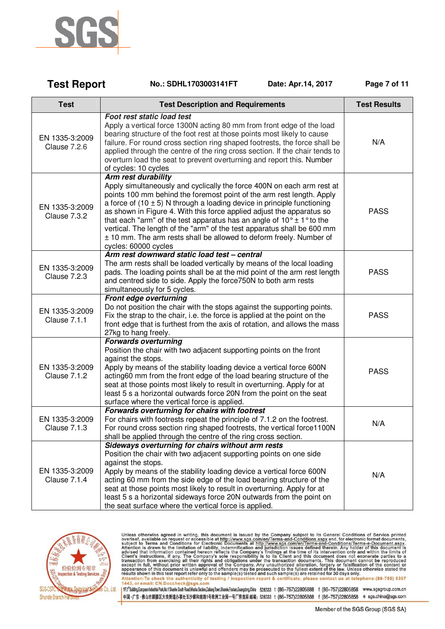

**Test Report** 

| Test                                  | <b>Test Description and Requirements</b>                                                                                                                                                                                                                                                                                                                                                                                                                                                                                                                                                                   | Test Results |
|---------------------------------------|------------------------------------------------------------------------------------------------------------------------------------------------------------------------------------------------------------------------------------------------------------------------------------------------------------------------------------------------------------------------------------------------------------------------------------------------------------------------------------------------------------------------------------------------------------------------------------------------------------|--------------|
| EN 1335-3:2009<br><b>Clause 7.2.6</b> | Foot rest static load test<br>Apply a vertical force 1300N acting 80 mm from front edge of the load<br>bearing structure of the foot rest at those points most likely to cause<br>failure. For round cross section ring shaped footrests, the force shall be<br>applied through the centre of the ring cross section. If the chair tends to<br>overturn load the seat to prevent overturning and report this. Number<br>of cycles: 10 cycles                                                                                                                                                               | N/A          |
| EN 1335-3:2009<br>Clause 7.3.2        | <b>Arm rest durability</b><br>Apply simultaneously and cyclically the force 400N on each arm rest at<br>points 100 mm behind the foremost point of the arm rest length. Apply<br>a force of $(10 \pm 5)$ N through a loading device in principle functioning<br>as shown in Figure 4. With this force applied adjust the apparatus so<br>that each "arm" of the test apparatus has an angle of $10^{\circ} \pm 1^{\circ}$ to the<br>vertical. The length of the "arm" of the test apparatus shall be 600 mm<br>± 10 mm. The arm rests shall be allowed to deform freely. Number of<br>cycles: 60000 cycles | <b>PASS</b>  |
| EN 1335-3:2009<br><b>Clause 7.2.3</b> | Arm rest downward static load test - central<br>The arm rests shall be loaded vertically by means of the local loading<br>pads. The loading points shall be at the mid point of the arm rest length<br>and centred side to side. Apply the force750N to both arm rests<br>simultaneously for 5 cycles.                                                                                                                                                                                                                                                                                                     | <b>PASS</b>  |
| EN 1335-3:2009<br>Clause 7.1.1        | Front edge overturning<br>Do not position the chair with the stops against the supporting points.<br>Fix the strap to the chair, i.e. the force is applied at the point on the<br>front edge that is furthest from the axis of rotation, and allows the mass<br>27kg to hang freely.                                                                                                                                                                                                                                                                                                                       | <b>PASS</b>  |
| EN 1335-3:2009<br><b>Clause 7.1.2</b> | <b>Forwards overturning</b><br>Position the chair with two adjacent supporting points on the front<br>against the stops.<br>Apply by means of the stability loading device a vertical force 600N<br>acting60 mm from the front edge of the load bearing structure of the<br>seat at those points most likely to result in overturning. Apply for at<br>least 5 s a horizontal outwards force 20N from the point on the seat<br>surface where the vertical force is applied.                                                                                                                                | <b>PASS</b>  |
| EN 1335-3:2009<br><b>Clause 7.1.3</b> | Forwards overturning for chairs with footrest<br>For chairs with footrests repeat the principle of 7.1.2 on the footrest.<br>For round cross section ring shaped footrests, the vertical force1100N<br>shall be applied through the centre of the ring cross section.                                                                                                                                                                                                                                                                                                                                      | N/A          |
| EN 1335-3:2009<br>Clause 7.1.4        | Sideways overturning for chairs without arm rests<br>Position the chair with two adjacent supporting points on one side<br>against the stops.<br>Apply by means of the stability loading device a vertical force 600N<br>acting 60 mm from the side edge of the load bearing structure of the<br>seat at those points most likely to result in overturning. Apply for at<br>least 5 s a horizontal sideways force 20N outwards from the point on                                                                                                                                                           | N/A          |

the seat surface where the vertical force is applied.

No.: SDHL1703003141FT

Date: Apr.14, 2017

Page 7 of 11



Unless otherwise agreed in writing, this document is issued by the Company subject to its General Conditions of Service printed overleaf, available on request or accessible at http://www.sgs.com/en/Terms-and-Conditions.as

1 ff;f<sup>4</sup>Buiding.European Industrial Park,No.1 Shunte South Road,Wusha Section,Daliang Town,Shunde,Foshan,Guangdong,China 528333 t (86-757)22805888 f (86-757)22805858 www.sgsgroup.com.cn 中国·广东·佛山市顺德区大良街道办事处五沙顺和南路1号欧洲工业园一号厂房首层 邮编: 528333 t (86-757)22805888 f (86-757)22805858 e sgs.china@sgs.com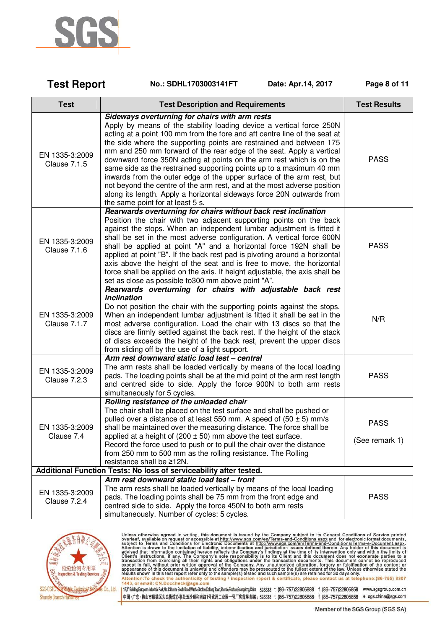

| <b>Test Report</b>                    | Date: Apr.14, 2017<br>No.: SDHL1703003141FT                                                                                                                                                                                                                                                                                                                                                                                                                                                                                                                                                                                                                                                                                                                        | Page 8 of 11                  |
|---------------------------------------|--------------------------------------------------------------------------------------------------------------------------------------------------------------------------------------------------------------------------------------------------------------------------------------------------------------------------------------------------------------------------------------------------------------------------------------------------------------------------------------------------------------------------------------------------------------------------------------------------------------------------------------------------------------------------------------------------------------------------------------------------------------------|-------------------------------|
| <b>Test</b>                           | <b>Test Description and Requirements</b>                                                                                                                                                                                                                                                                                                                                                                                                                                                                                                                                                                                                                                                                                                                           | <b>Test Results</b>           |
| EN 1335-3:2009<br><b>Clause 7.1.5</b> | Sideways overturning for chairs with arm rests<br>Apply by means of the stability loading device a vertical force 250N<br>acting at a point 100 mm from the fore and aft centre line of the seat at<br>the side where the supporting points are restrained and between 175<br>mm and 250 mm forward of the rear edge of the seat. Apply a vertical<br>downward force 350N acting at points on the arm rest which is on the<br>same side as the restrained supporting points up to a maximum 40 mm<br>inwards from the outer edge of the upper surface of the arm rest, but<br>not beyond the centre of the arm rest, and at the most adverse position<br>along its length. Apply a horizontal sideways force 20N outwards from<br>the same point for at least 5 s. | <b>PASS</b>                   |
| EN 1335-3:2009<br>Clause 7.1.6        | Rearwards overturning for chairs without back rest inclination<br>Position the chair with two adjacent supporting points on the back<br>against the stops. When an independent lumbar adjustment is fitted it<br>shall be set in the most adverse configuration. A vertical force 600N<br>shall be applied at point "A" and a horizontal force 192N shall be<br>applied at point "B". If the back rest pad is pivoting around a horizontal<br>axis above the height of the seat and is free to move, the horizontal<br>force shall be applied on the axis. If height adjustable, the axis shall be<br>set as close as possible to300 mm above point "A".                                                                                                           | <b>PASS</b>                   |
| EN 1335-3:2009<br>Clause 7.1.7        | Rearwards overturning for chairs with adjustable back rest<br>inclination<br>Do not position the chair with the supporting points against the stops.<br>When an independent lumbar adjustment is fitted it shall be set in the<br>most adverse configuration. Load the chair with 13 discs so that the<br>discs are firmly settled against the back rest. If the height of the stack<br>of discs exceeds the height of the back rest, prevent the upper discs<br>from sliding off by the use of a light support.                                                                                                                                                                                                                                                   | N/R                           |
| EN 1335-3:2009<br><b>Clause 7.2.3</b> | Arm rest downward static load test - central<br>The arm rests shall be loaded vertically by means of the local loading<br>pads. The loading points shall be at the mid point of the arm rest length<br>and centred side to side. Apply the force 900N to both arm rests<br>simultaneously for 5 cycles.                                                                                                                                                                                                                                                                                                                                                                                                                                                            | <b>PASS</b>                   |
| EN 1335-3:2009<br>Clause 7.4          | Rolling resistance of the unloaded chair<br>The chair shall be placed on the test surface and shall be pushed or<br>pulled over a distance of at least 550 mm. A speed of $(50 \pm 5)$ mm/s<br>shall be maintained over the measuring distance. The force shall be<br>applied at a height of (200 $\pm$ 50) mm above the test surface.<br>Record the force used to push or to pull the chair over the distance<br>from 250 mm to 500 mm as the rolling resistance. The Rolling<br>resistance shall be ≥12N.                                                                                                                                                                                                                                                        | <b>PASS</b><br>(See remark 1) |
|                                       | Additional Function Tests: No loss of serviceability after tested.                                                                                                                                                                                                                                                                                                                                                                                                                                                                                                                                                                                                                                                                                                 |                               |
| EN 1335-3:2009<br>Clause 7.2.4        | Arm rest downward static load test - front<br>The arm rests shall be loaded vertically by means of the local loading<br>pads. The loading points shall be 75 mm from the front edge and<br>centred side to side. Apply the force 450N to both arm rests<br>simultaneously. Number of cycles: 5 cycles.                                                                                                                                                                                                                                                                                                                                                                                                                                                             | <b>PASS</b>                   |



Unless otherwise agreed in writing, this document is issued by the Company subject to its General Conditions of Service printed overleaf, available on request or accessible at http://www.sgs.com/en/Terms-and-Conditions.as

1 1F;1<sup>6</sup>Bulding,European Industrial Park,No.1 Shunte South Road,Wusha Sedion,Dalang Town,Shunde,Foshan,Guangdong,China 528333 t (86-757)22805888 f (86-757)22805858 www.sgsgroup.com.cn 中国·广东·佛山市顺德区大良街道办事处五沙顺和南路1号欧洲工业园一号厂房首层 邮编: 528333 t (86-757)22805888 f (86-757)22805858 e sgs.china@sgs.com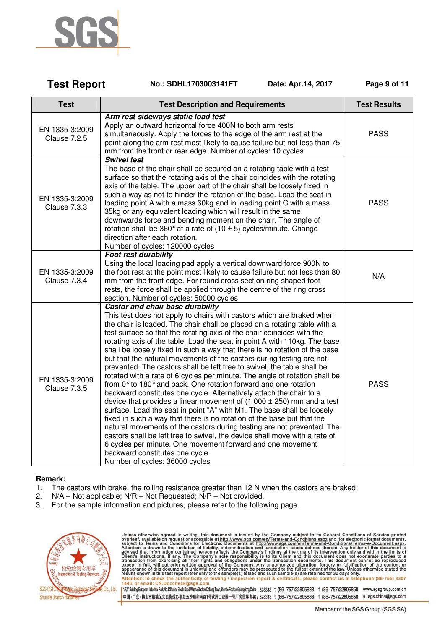

| <b>Test Report</b>                    | No.: SDHL1703003141FT<br>Date: Apr.14, 2017                                                                                                                                                                                                                                                                                                                                                                                                                                                                                                                                                                                                                                                                                                                                                                                                                                                                                                                                                                                                                                                                                                                                                                                                                                                                                         | Page 9 of 11        |
|---------------------------------------|-------------------------------------------------------------------------------------------------------------------------------------------------------------------------------------------------------------------------------------------------------------------------------------------------------------------------------------------------------------------------------------------------------------------------------------------------------------------------------------------------------------------------------------------------------------------------------------------------------------------------------------------------------------------------------------------------------------------------------------------------------------------------------------------------------------------------------------------------------------------------------------------------------------------------------------------------------------------------------------------------------------------------------------------------------------------------------------------------------------------------------------------------------------------------------------------------------------------------------------------------------------------------------------------------------------------------------------|---------------------|
| <b>Test</b>                           | <b>Test Description and Requirements</b>                                                                                                                                                                                                                                                                                                                                                                                                                                                                                                                                                                                                                                                                                                                                                                                                                                                                                                                                                                                                                                                                                                                                                                                                                                                                                            | <b>Test Results</b> |
| EN 1335-3:2009<br><b>Clause 7.2.5</b> | Arm rest sideways static load test<br>Apply an outward horizontal force 400N to both arm rests<br>simultaneously. Apply the forces to the edge of the arm rest at the<br>point along the arm rest most likely to cause failure but not less than 75<br>mm from the front or rear edge. Number of cycles: 10 cycles.                                                                                                                                                                                                                                                                                                                                                                                                                                                                                                                                                                                                                                                                                                                                                                                                                                                                                                                                                                                                                 | <b>PASS</b>         |
| EN 1335-3:2009<br>Clause 7.3.3        | <b>Swivel test</b><br>The base of the chair shall be secured on a rotating table with a test<br>surface so that the rotating axis of the chair coincides with the rotating<br>axis of the table. The upper part of the chair shall be loosely fixed in<br>such a way as not to hinder the rotation of the base. Load the seat in<br>loading point A with a mass 60kg and in loading point C with a mass<br>35kg or any equivalent loading which will result in the same<br>downwards force and bending moment on the chair. The angle of<br>rotation shall be 360 $^{\circ}$ at a rate of (10 $\pm$ 5) cycles/minute. Change<br>direction after each rotation.<br>Number of cycles: 120000 cycles                                                                                                                                                                                                                                                                                                                                                                                                                                                                                                                                                                                                                                   | <b>PASS</b>         |
| EN 1335-3:2009<br>Clause 7.3.4        | <b>Foot rest durability</b><br>Using the local loading pad apply a vertical downward force 900N to<br>the foot rest at the point most likely to cause failure but not less than 80<br>mm from the front edge. For round cross section ring shaped foot<br>rests, the force shall be applied through the centre of the ring cross<br>section. Number of cycles: 50000 cycles                                                                                                                                                                                                                                                                                                                                                                                                                                                                                                                                                                                                                                                                                                                                                                                                                                                                                                                                                         | N/A                 |
| EN 1335-3:2009<br><b>Clause 7.3.5</b> | Castor and chair base durability<br>This test does not apply to chairs with castors which are braked when<br>the chair is loaded. The chair shall be placed on a rotating table with a<br>test surface so that the rotating axis of the chair coincides with the<br>rotating axis of the table. Load the seat in point A with 110kg. The base<br>shall be loosely fixed in such a way that there is no rotation of the base<br>but that the natural movements of the castors during testing are not<br>prevented. The castors shall be left free to swivel, the table shall be<br>rotated with a rate of 6 cycles per minute. The angle of rotation shall be<br>from 0° to 180° and back. One rotation forward and one rotation<br>backward constitutes one cycle. Alternatively attach the chair to a<br>device that provides a linear movement of $(1\ 000 \pm 250)$ mm and a test<br>surface. Load the seat in point "A" with M1. The base shall be loosely<br>fixed in such a way that there is no rotation of the base but that the<br>natural movements of the castors during testing are not prevented. The<br>castors shall be left free to swivel, the device shall move with a rate of<br>6 cycles per minute. One movement forward and one movement<br>backward constitutes one cycle.<br>Number of cycles: 36000 cycles | <b>PASS</b>         |

### **Remark:**

- 1. The castors with brake, the rolling resistance greater than 12 N when the castors are braked;
- 2. N/A Not applicable; N/R Not Requested; N/P Not provided.
- 3. For the sample information and pictures, please refer to the following page.



Unless otherwise agreed in writing, this document is issued by the Company subject to its General Conditions of Service printed overleaf, available on request or accessible at http://www.sgs.com/en/Terms-and-Conditions.as

1Fif<sup>4</sup>Building.European Industrial Park, No.1 Shunhe South Road, Wusha Sedion,Dalang Town,Shunde,Foshan,Guangdong,China 528333 t (86-757)22805888 f (86-757)22805858 www.sgsgroup.com.cn 中国·广东·佛山市顺德区大良街道办事处五沙顺和南路1号欧洲工业园一号厂房首层 邮编: 528333 t (86-757)22805888 f (86-757)22805858 e sgs.china@sgs.com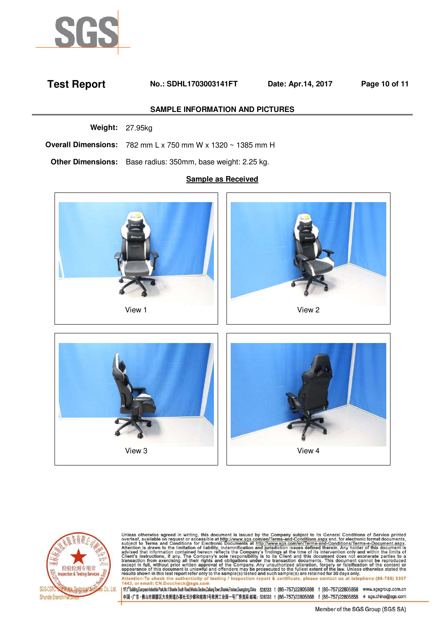

# **Test Report No.: SDHL1703003141FT Date: Apr.14, 2017 Page 10 of 11**

#### **SAMPLE INFORMATION AND PICTURES**

**Weight:** 27.95kg

**Overall Dimensions:** 782 mm L x 750 mm W x 1320 ~ 1385 mm H

**Other Dimensions:** Base radius: 350mm, base weight: 2.25 kg.

#### **Sample as Received**









Unless otherwise agreed in writing, this document is issued by the Company subject to its General Conditions of Service printed overleaf, available on request or accessible at http://www.sgs.com/en/Terms-and-Conditions.as

1Fif<sup>4</sup>Building.European Industrial Park, No.1 Shunhe South Road, Wusha Sedion,Dalang Town,Shunde,Foshan,Guangdong,China 528333 t (86-757)22805888 f (86-757)22805858 www.sgsgroup.com.cn 中国·广东·佛山市顺德区大良街道办事处五沙顺和南路1号欧洲工业园一号厂房首层 邮编: 528333 t (86-757)22805888 f (86-757)22805858 e sgs.china@sgs.com